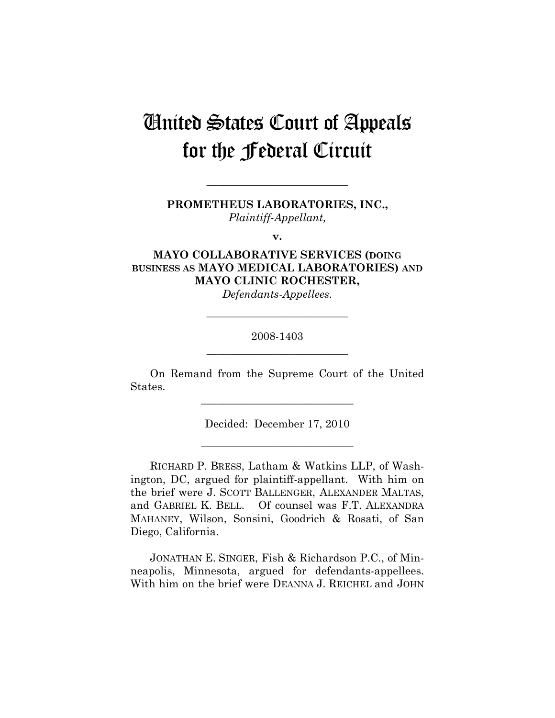# United States Court of Appeals for the Federal Circuit

**PROMETHEUS LABORATORIES, INC.,**  *Plaintiff-Appellant,* 

**\_\_\_\_\_\_\_\_\_\_\_\_\_\_\_\_\_\_\_\_\_\_\_\_\_\_** 

**v.** 

# **MAYO COLLABORATIVE SERVICES (DOING BUSINESS AS MAYO MEDICAL LABORATORIES) AND MAYO CLINIC ROCHESTER,**

*Defendants-Appellees.* 

## 2008-1403 **\_\_\_\_\_\_\_\_\_\_\_\_\_\_\_\_\_\_\_\_\_\_\_\_\_\_**

**\_\_\_\_\_\_\_\_\_\_\_\_\_\_\_\_\_\_\_\_\_\_\_\_\_\_** 

On Remand from the Supreme Court of the United States.

**\_\_\_\_\_\_\_\_\_\_\_\_\_\_\_\_\_\_\_\_\_\_\_\_\_\_\_\_** 

Decided: December 17, 2010

**\_\_\_\_\_\_\_\_\_\_\_\_\_\_\_\_\_\_\_\_\_\_\_\_\_\_\_\_** 

RICHARD P. BRESS, Latham & Watkins LLP, of Washington, DC, argued for plaintiff-appellant. With him on the brief were J. SCOTT BALLENGER, ALEXANDER MALTAS, and GABRIEL K. BELL. Of counsel was F.T. ALEXANDRA MAHANEY, Wilson, Sonsini, Goodrich & Rosati, of San Diego, California.

JONATHAN E. SINGER, Fish & Richardson P.C., of Minneapolis, Minnesota, argued for defendants-appellees. With him on the brief were DEANNA J. REICHEL and JOHN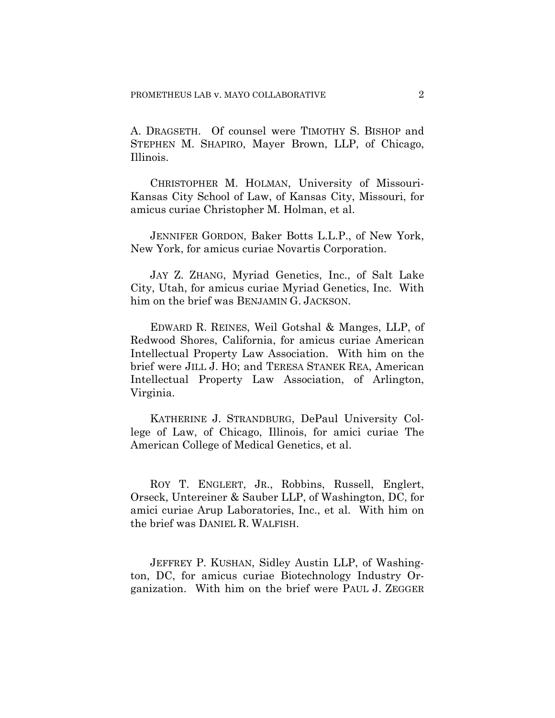A. DRAGSETH. Of counsel were TIMOTHY S. BISHOP and STEPHEN M. SHAPIRO, Mayer Brown, LLP, of Chicago, Illinois.

CHRISTOPHER M. HOLMAN, University of Missouri-Kansas City School of Law, of Kansas City, Missouri, for amicus curiae Christopher M. Holman, et al.

JENNIFER GORDON, Baker Botts L.L.P., of New York, New York, for amicus curiae Novartis Corporation.

JAY Z. ZHANG, Myriad Genetics, Inc., of Salt Lake City, Utah, for amicus curiae Myriad Genetics, Inc. With him on the brief was BENJAMIN G. JACKSON.

EDWARD R. REINES, Weil Gotshal & Manges, LLP, of Redwood Shores, California, for amicus curiae American Intellectual Property Law Association. With him on the brief were JILL J. HO; and TERESA STANEK REA, American Intellectual Property Law Association, of Arlington, Virginia.

KATHERINE J. STRANDBURG, DePaul University College of Law, of Chicago, Illinois, for amici curiae The American College of Medical Genetics, et al.

ROY T. ENGLERT, JR., Robbins, Russell, Englert, Orseck, Untereiner & Sauber LLP, of Washington, DC, for amici curiae Arup Laboratories, Inc., et al. With him on the brief was DANIEL R. WALFISH.

JEFFREY P. KUSHAN, Sidley Austin LLP, of Washington, DC, for amicus curiae Biotechnology Industry Organization. With him on the brief were PAUL J. ZEGGER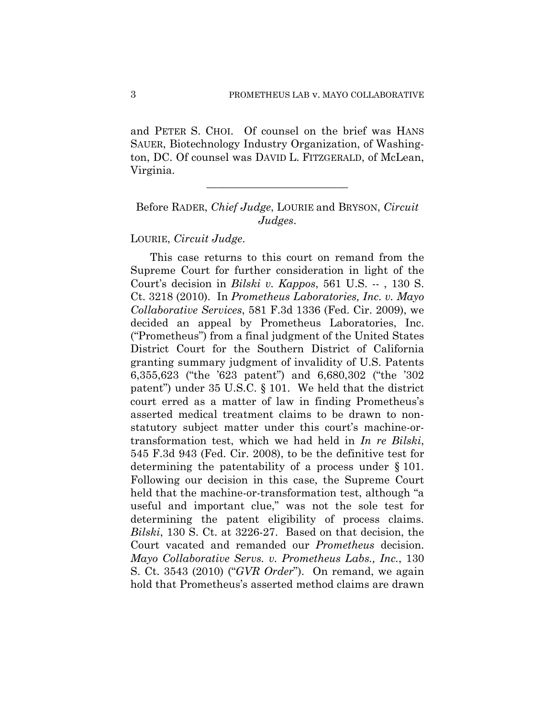and PETER S. CHOI. Of counsel on the brief was HANS SAUER, Biotechnology Industry Organization, of Washington, DC. Of counsel was DAVID L. FITZGERALD, of McLean, Virginia.

# Before RADER, *Chief Judge*, LOURIE and BRYSON, *Circuit Judges*.

**\_\_\_\_\_\_\_\_\_\_\_\_\_\_\_\_\_\_\_\_\_\_\_\_\_\_** 

LOURIE, *Circuit Judge*.

This case returns to this court on remand from the Supreme Court for further consideration in light of the Court's decision in *Bilski v. Kappos*, 561 U.S. -- , 130 S. Ct. 3218 (2010). In *Prometheus Laboratories, Inc. v. Mayo Collaborative Services*, 581 F.3d 1336 (Fed. Cir. 2009), we decided an appeal by Prometheus Laboratories, Inc. ("Prometheus") from a final judgment of the United States District Court for the Southern District of California granting summary judgment of invalidity of U.S. Patents 6,355,623 ("the '623 patent") and 6,680,302 ("the '302 patent") under 35 U.S.C. § 101. We held that the district court erred as a matter of law in finding Prometheus's asserted medical treatment claims to be drawn to nonstatutory subject matter under this court's machine-ortransformation test, which we had held in *In re Bilski*, 545 F.3d 943 (Fed. Cir. 2008), to be the definitive test for determining the patentability of a process under § 101. Following our decision in this case, the Supreme Court held that the machine-or-transformation test, although "a useful and important clue," was not the sole test for determining the patent eligibility of process claims. *Bilski*, 130 S. Ct. at 3226-27. Based on that decision, the Court vacated and remanded our *Prometheus* decision. *Mayo Collaborative Servs. v. Prometheus Labs., Inc.*, 130 S. Ct. 3543 (2010) ("*GVR Order*"). On remand, we again hold that Prometheus's asserted method claims are drawn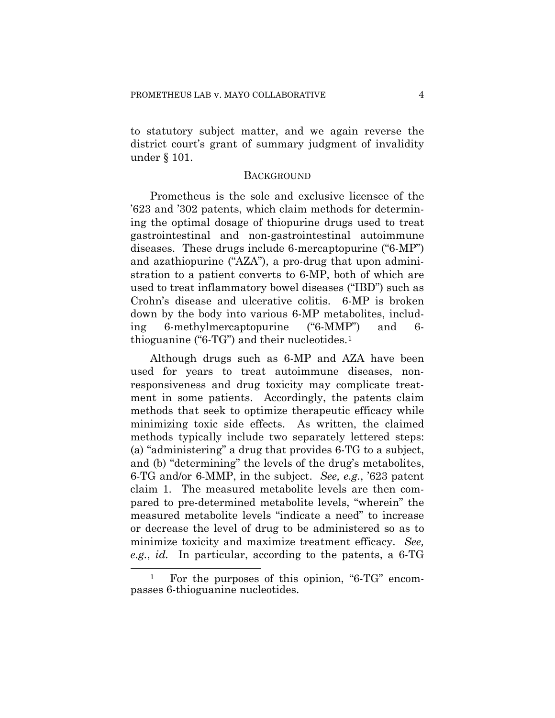to statutory subject matter, and we again reverse the district court's grant of summary judgment of invalidity under § 101.

## **BACKGROUND**

Prometheus is the sole and exclusive licensee of the '623 and '302 patents, which claim methods for determining the optimal dosage of thiopurine drugs used to treat gastrointestinal and non-gastrointestinal autoimmune diseases. These drugs include 6-mercaptopurine ("6-MP") and azathiopurine ("AZA"), a pro-drug that upon administration to a patient converts to 6-MP, both of which are used to treat inflammatory bowel diseases ("IBD") such as Crohn's disease and ulcerative colitis. 6-MP is broken down by the body into various 6-MP metabolites, including 6-methylmercaptopurine ("6-MMP") and 6 thioguanine ("6-TG") and their nucleotides.[1](#page-3-0)

Although drugs such as 6-MP and AZA have been used for years to treat autoimmune diseases, nonresponsiveness and drug toxicity may complicate treatment in some patients. Accordingly, the patents claim methods that seek to optimize therapeutic efficacy while minimizing toxic side effects. As written, the claimed methods typically include two separately lettered steps: (a) "administering" a drug that provides 6-TG to a subject, and (b) "determining" the levels of the drug's metabolites, 6-TG and/or 6-MMP, in the subject. *See, e.g.*, '623 patent claim 1. The measured metabolite levels are then compared to pre-determined metabolite levels, "wherein" the measured metabolite levels "indicate a need" to increase or decrease the level of drug to be administered so as to minimize toxicity and maximize treatment efficacy. *See, e.g.*, *id.* In particular, according to the patents, a 6-TG

1

<span id="page-3-0"></span><sup>1</sup> For the purposes of this opinion, "6-TG" encompasses 6-thioguanine nucleotides.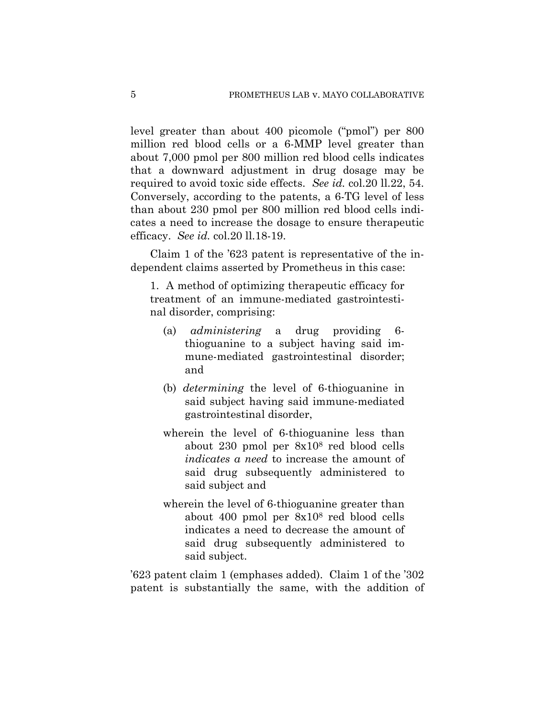level greater than about 400 picomole ("pmol") per 800 million red blood cells or a 6-MMP level greater than about 7,000 pmol per 800 million red blood cells indicates that a downward adjustment in drug dosage may be required to avoid toxic side effects. *See id.* col.20 ll.22, 54. Conversely, according to the patents, a 6-TG level of less than about 230 pmol per 800 million red blood cells indicates a need to increase the dosage to ensure therapeutic efficacy. *See id.* col.20 ll.18-19.

Claim 1 of the '623 patent is representative of the independent claims asserted by Prometheus in this case:

1. A method of optimizing therapeutic efficacy for treatment of an immune-mediated gastrointestinal disorder, comprising:

- (a) *administering* a drug providing 6 thioguanine to a subject having said immune-mediated gastrointestinal disorder; and
- (b) *determining* the level of 6-thioguanine in said subject having said immune-mediated gastrointestinal disorder,
- wherein the level of 6-thioguanine less than about 230 pmol per 8x108 red blood cells *indicates a need* to increase the amount of said drug subsequently administered to said subject and
- wherein the level of 6-thioguanine greater than about 400 pmol per 8x108 red blood cells indicates a need to decrease the amount of said drug subsequently administered to said subject.

'623 patent claim 1 (emphases added). Claim 1 of the '302 patent is substantially the same, with the addition of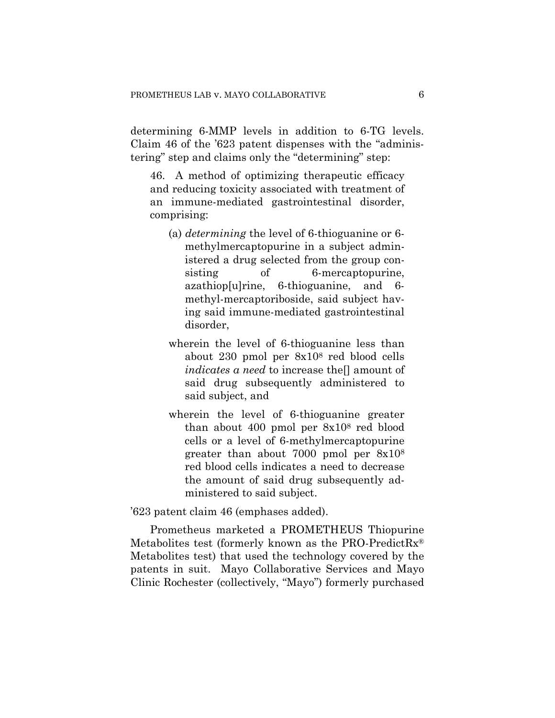determining 6-MMP levels in addition to 6-TG levels. Claim 46 of the '623 patent dispenses with the "administering" step and claims only the "determining" step:

46. A method of optimizing therapeutic efficacy and reducing toxicity associated with treatment of an immune-mediated gastrointestinal disorder, comprising:

- (a) *determining* the level of 6-thioguanine or 6 methylmercaptopurine in a subject administered a drug selected from the group consisting of 6-mercaptopurine, azathiop[u]rine, 6-thioguanine, and 6 methyl-mercaptoriboside, said subject having said immune-mediated gastrointestinal disorder,
- wherein the level of 6-thioguanine less than about 230 pmol per 8x108 red blood cells *indicates a need* to increase the<sup>[]</sup> amount of said drug subsequently administered to said subject, and
- wherein the level of 6-thioguanine greater than about 400 pmol per 8x108 red blood cells or a level of 6-methylmercaptopurine greater than about 7000 pmol per 8x108 red blood cells indicates a need to decrease the amount of said drug subsequently administered to said subject.

'623 patent claim 46 (emphases added).

Prometheus marketed a PROMETHEUS Thiopurine Metabolites test (formerly known as the PRO-PredictRx<sup>®</sup> Metabolites test) that used the technology covered by the patents in suit. Mayo Collaborative Services and Mayo Clinic Rochester (collectively, "Mayo") formerly purchased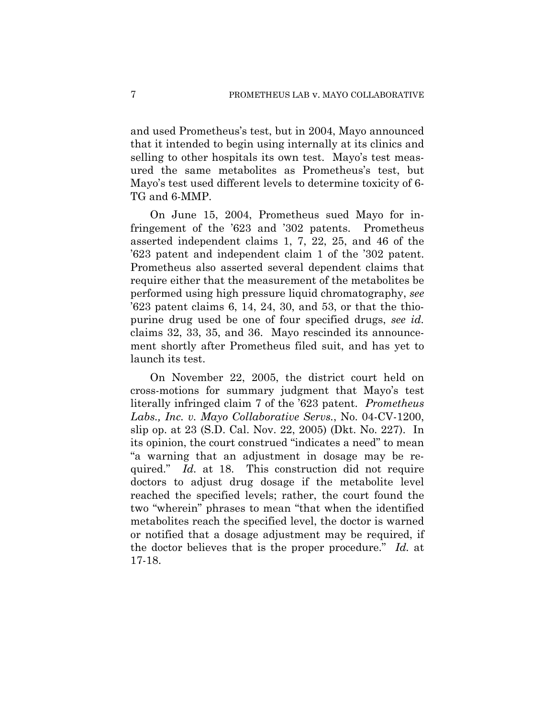and used Prometheus's test, but in 2004, Mayo announced that it intended to begin using internally at its clinics and selling to other hospitals its own test. Mayo's test measured the same metabolites as Prometheus's test, but Mayo's test used different levels to determine toxicity of 6- TG and 6-MMP.

On June 15, 2004, Prometheus sued Mayo for infringement of the '623 and '302 patents. Prometheus asserted independent claims 1, 7, 22, 25, and 46 of the '623 patent and independent claim 1 of the '302 patent. Prometheus also asserted several dependent claims that require either that the measurement of the metabolites be performed using high pressure liquid chromatography, *see* '623 patent claims 6, 14, 24, 30, and 53, or that the thiopurine drug used be one of four specified drugs, *see id.* claims 32, 33, 35, and 36. Mayo rescinded its announcement shortly after Prometheus filed suit, and has yet to launch its test.

On November 22, 2005, the district court held on cross-motions for summary judgment that Mayo's test literally infringed claim 7 of the '623 patent. *Prometheus Labs., Inc. v. Mayo Collaborative Servs.*, No. 04-CV-1200, slip op. at 23 (S.D. Cal. Nov. 22, 2005) (Dkt. No. 227). In its opinion, the court construed "indicates a need" to mean "a warning that an adjustment in dosage may be required." *Id.* at 18. This construction did not require doctors to adjust drug dosage if the metabolite level reached the specified levels; rather, the court found the two "wherein" phrases to mean "that when the identified metabolites reach the specified level, the doctor is warned or notified that a dosage adjustment may be required, if the doctor believes that is the proper procedure." *Id.* at 17-18.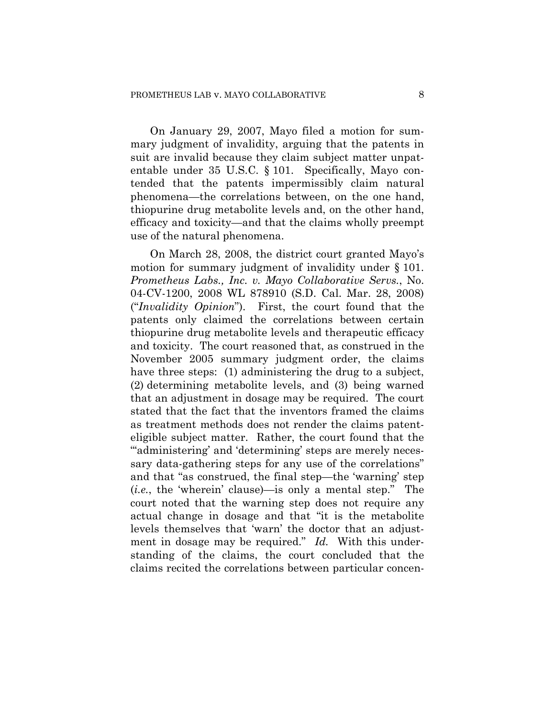On January 29, 2007, Mayo filed a motion for summary judgment of invalidity, arguing that the patents in suit are invalid because they claim subject matter unpatentable under 35 U.S.C. § 101. Specifically, Mayo contended that the patents impermissibly claim natural phenomena—the correlations between, on the one hand, thiopurine drug metabolite levels and, on the other hand, efficacy and toxicity—and that the claims wholly preempt use of the natural phenomena.

On March 28, 2008, the district court granted Mayo's motion for summary judgment of invalidity under § 101. *Prometheus Labs., Inc. v. Mayo Collaborative Servs.*, No. 04-CV-1200, 2008 WL 878910 (S.D. Cal. Mar. 28, 2008) ("*Invalidity Opinion*"). First, the court found that the patents only claimed the correlations between certain thiopurine drug metabolite levels and therapeutic efficacy and toxicity. The court reasoned that, as construed in the November 2005 summary judgment order, the claims have three steps: (1) administering the drug to a subject, (2) determining metabolite levels, and (3) being warned that an adjustment in dosage may be required. The court stated that the fact that the inventors framed the claims as treatment methods does not render the claims patenteligible subject matter. Rather, the court found that the ""administering' and 'determining' steps are merely necessary data-gathering steps for any use of the correlations" and that "as construed, the final step—the 'warning' step (*i.e.*, the 'wherein' clause)—is only a mental step." The court noted that the warning step does not require any actual change in dosage and that "it is the metabolite levels themselves that 'warn' the doctor that an adjustment in dosage may be required." *Id.* With this understanding of the claims, the court concluded that the claims recited the correlations between particular concen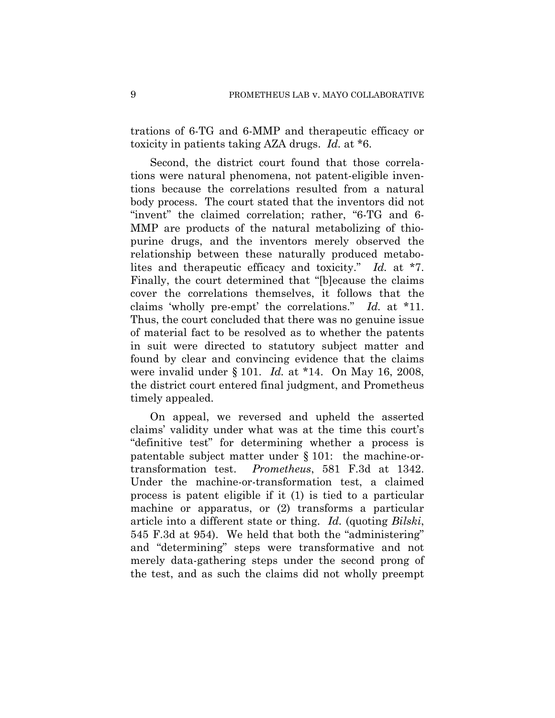trations of 6-TG and 6-MMP and therapeutic efficacy or toxicity in patients taking AZA drugs. *Id.* at \*6.

Second, the district court found that those correlations were natural phenomena, not patent-eligible inventions because the correlations resulted from a natural body process. The court stated that the inventors did not "invent" the claimed correlation; rather, "6-TG and 6- MMP are products of the natural metabolizing of thiopurine drugs, and the inventors merely observed the relationship between these naturally produced metabolites and therapeutic efficacy and toxicity." *Id.* at \*7. Finally, the court determined that "[b]ecause the claims cover the correlations themselves, it follows that the claims 'wholly pre-empt' the correlations." *Id.* at \*11. Thus, the court concluded that there was no genuine issue of material fact to be resolved as to whether the patents in suit were directed to statutory subject matter and found by clear and convincing evidence that the claims were invalid under § 101. *Id.* at \*14. On May 16, 2008, the district court entered final judgment, and Prometheus timely appealed.

On appeal, we reversed and upheld the asserted claims' validity under what was at the time this court's "definitive test" for determining whether a process is patentable subject matter under § 101: the machine-ortransformation test. *Prometheus*, 581 F.3d at 1342. Under the machine-or-transformation test, a claimed process is patent eligible if it (1) is tied to a particular machine or apparatus, or (2) transforms a particular article into a different state or thing. *Id.* (quoting *Bilski*, 545 F.3d at 954). We held that both the "administering" and "determining" steps were transformative and not merely data-gathering steps under the second prong of the test, and as such the claims did not wholly preempt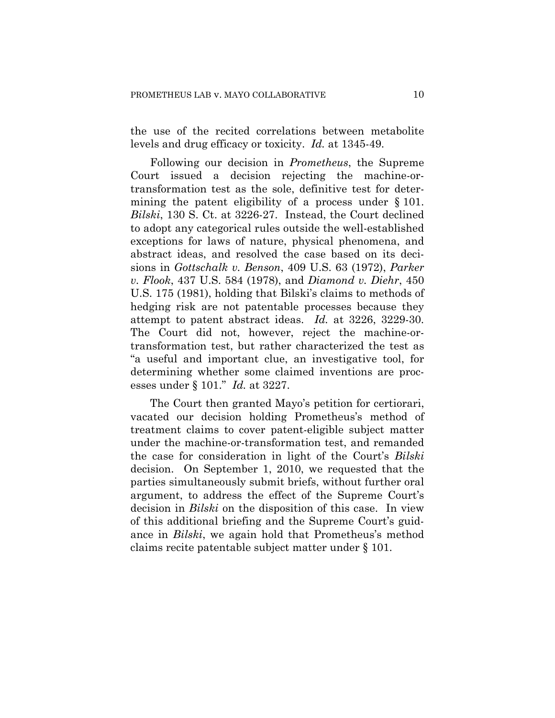the use of the recited correlations between metabolite levels and drug efficacy or toxicity. *Id.* at 1345-49.

Following our decision in *Prometheus*, the Supreme Court issued a decision rejecting the machine-ortransformation test as the sole, definitive test for determining the patent eligibility of a process under § 101. *Bilski*, 130 S. Ct. at 3226-27. Instead, the Court declined to adopt any categorical rules outside the well-established exceptions for laws of nature, physical phenomena, and abstract ideas, and resolved the case based on its decisions in *Gottschalk v. Benson*, 409 U.S. 63 (1972), *Parker v. Flook*, 437 U.S. 584 (1978), and *Diamond v. Diehr*, 450 U.S. 175 (1981), holding that Bilski's claims to methods of hedging risk are not patentable processes because they attempt to patent abstract ideas. *Id.* at 3226, 3229-30. The Court did not, however, reject the machine-ortransformation test, but rather characterized the test as "a useful and important clue, an investigative tool, for determining whether some claimed inventions are processes under § 101." *Id.* at 3227.

The Court then granted Mayo's petition for certiorari, vacated our decision holding Prometheus's method of treatment claims to cover patent-eligible subject matter under the machine-or-transformation test, and remanded the case for consideration in light of the Court's *Bilski* decision. On September 1, 2010, we requested that the parties simultaneously submit briefs, without further oral argument, to address the effect of the Supreme Court's decision in *Bilski* on the disposition of this case. In view of this additional briefing and the Supreme Court's guidance in *Bilski*, we again hold that Prometheus's method claims recite patentable subject matter under § 101.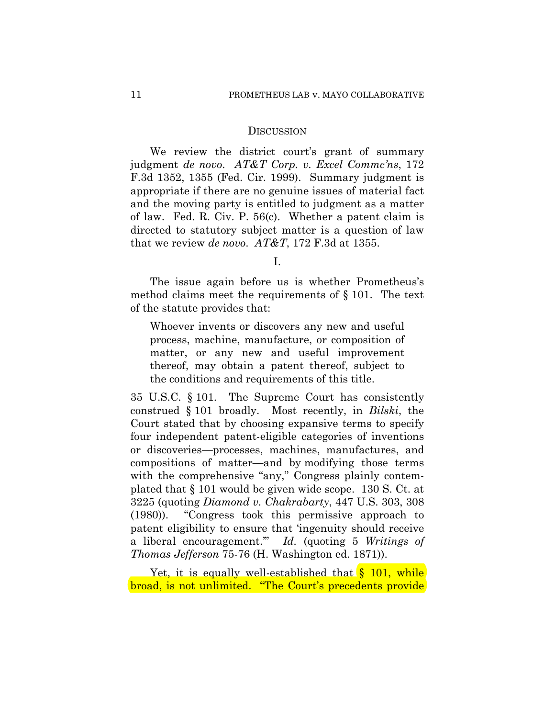#### **DISCUSSION**

We review the district court's grant of summary judgment *de novo*. *AT&T Corp. v. Excel Commc'ns*, 172 F.3d 1352, 1355 (Fed. Cir. 1999). Summary judgment is appropriate if there are no genuine issues of material fact and the moving party is entitled to judgment as a matter of law. Fed. R. Civ. P. 56(c). Whether a patent claim is directed to statutory subject matter is a question of law that we review *de novo*. *AT&T*, 172 F.3d at 1355.

I.

The issue again before us is whether Prometheus's method claims meet the requirements of § 101. The text of the statute provides that:

Whoever invents or discovers any new and useful process, machine, manufacture, or composition of matter, or any new and useful improvement thereof, may obtain a patent thereof, subject to the conditions and requirements of this title.

35 U.S.C. § 101. The Supreme Court has consistently construed § 101 broadly. Most recently, in *Bilski*, the Court stated that by choosing expansive terms to specify four independent patent-eligible categories of inventions or discoveries—processes, machines, manufactures, and compositions of matter—and by modifying those terms with the comprehensive "any," Congress plainly contemplated that § 101 would be given wide scope. 130 S. Ct. at 3225 (quoting *Diamond v. Chakrabarty*, 447 U.S. 303, 308 (1980)). "Congress took this permissive approach to patent eligibility to ensure that 'ingenuity should receive a liberal encouragement.'" *Id.* (quoting 5 *Writings of Thomas Jefferson* 75-76 (H. Washington ed. 1871)).

Yet, it is equally well-established that  $\S$  101, while broad, is not unlimited. "The Court's precedents provide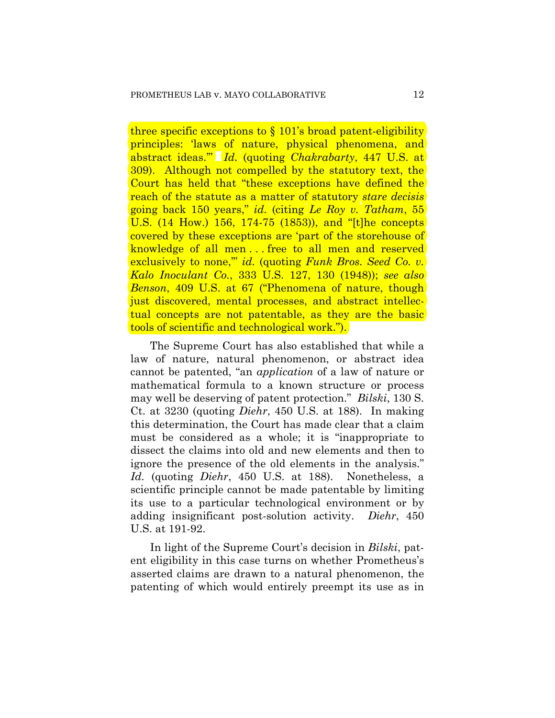three specific exceptions to § 101's broad patent-eligibility principles: 'laws of nature, physical phenomena, and abstract ideas.'" *Id.* (quoting *Chakrabarty*, 447 U.S. at 309). Although not compelled by the statutory text, the Court has held that "these exceptions have defined the reach of the statute as a matter of statutory *stare decisis* going back 150 years," *id.* (citing *Le Roy v. Tatham*, 55 U.S. (14 How.) 156, 174-75 (1853)), and "[t]he concepts covered by these exceptions are 'part of the storehouse of knowledge of all men . . . free to all men and reserved exclusively to none,'" *id.* (quoting *Funk Bros. Seed Co. v. Kalo Inoculant Co.*, 333 U.S. 127, 130 (1948)); *see also Benson*, 409 U.S. at 67 ("Phenomena of nature, though just discovered, mental processes, and abstract intellectual concepts are not patentable, as they are the basic tools of scientific and technological work.").

The Supreme Court has also established that while a law of nature, natural phenomenon, or abstract idea cannot be patented, "an *application* of a law of nature or mathematical formula to a known structure or process may well be deserving of patent protection." *Bilski*, 130 S. Ct. at 3230 (quoting *Diehr*, 450 U.S. at 188). In making this determination, the Court has made clear that a claim must be considered as a whole; it is "inappropriate to dissect the claims into old and new elements and then to ignore the presence of the old elements in the analysis." *Id.* (quoting *Diehr*, 450 U.S. at 188). Nonetheless, a scientific principle cannot be made patentable by limiting its use to a particular technological environment or by adding insignificant post-solution activity. *Diehr*, 450 U.S. at 191-92.

In light of the Supreme Court's decision in *Bilski*, patent eligibility in this case turns on whether Prometheus's asserted claims are drawn to a natural phenomenon, the patenting of which would entirely preempt its use as in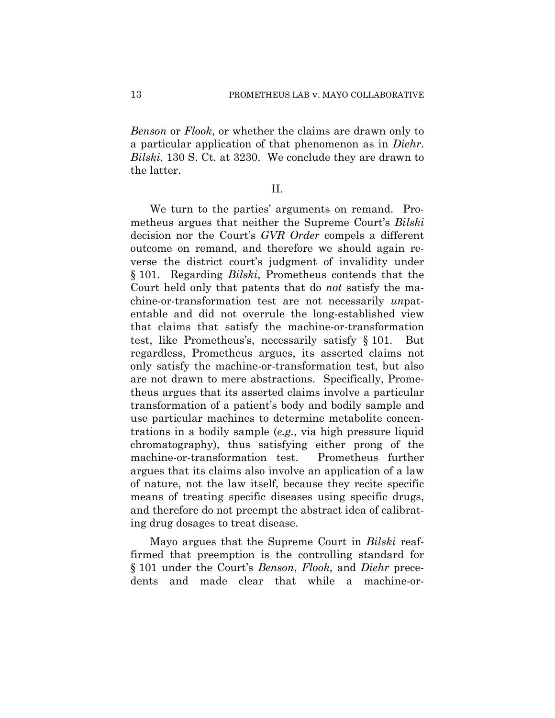*Benson* or *Flook*, or whether the claims are drawn only to a particular application of that phenomenon as in *Diehr*. *Bilski*, 130 S. Ct. at 3230. We conclude they are drawn to the latter.

## II.

We turn to the parties' arguments on remand. Prometheus argues that neither the Supreme Court's *Bilski* decision nor the Court's *GVR Order* compels a different outcome on remand, and therefore we should again reverse the district court's judgment of invalidity under § 101. Regarding *Bilski*, Prometheus contends that the Court held only that patents that do *not* satisfy the machine-or-transformation test are not necessarily *un*patentable and did not overrule the long-established view that claims that satisfy the machine-or-transformation test, like Prometheus's, necessarily satisfy § 101. But regardless, Prometheus argues, its asserted claims not only satisfy the machine-or-transformation test, but also are not drawn to mere abstractions. Specifically, Prometheus argues that its asserted claims involve a particular transformation of a patient's body and bodily sample and use particular machines to determine metabolite concentrations in a bodily sample (*e.g.*, via high pressure liquid chromatography), thus satisfying either prong of the machine-or-transformation test. Prometheus further argues that its claims also involve an application of a law of nature, not the law itself, because they recite specific means of treating specific diseases using specific drugs, and therefore do not preempt the abstract idea of calibrating drug dosages to treat disease.

Mayo argues that the Supreme Court in *Bilski* reaffirmed that preemption is the controlling standard for § 101 under the Court's *Benson*, *Flook*, and *Diehr* precedents and made clear that while a machine-or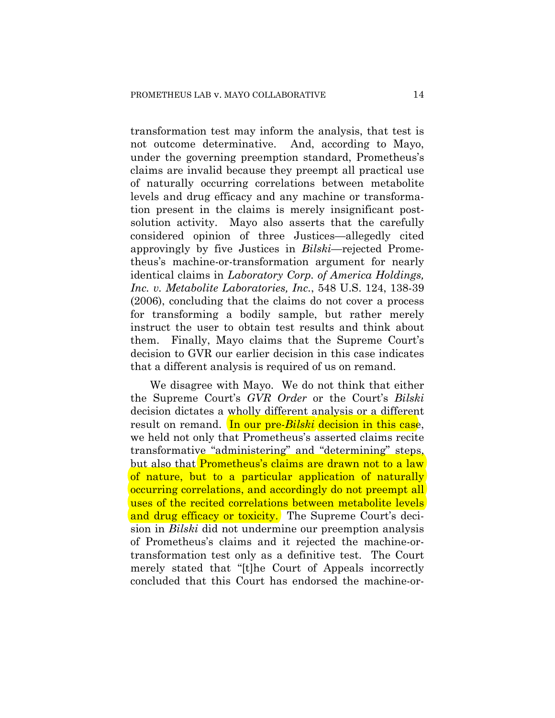transformation test may inform the analysis, that test is not outcome determinative. And, according to Mayo, under the governing preemption standard, Prometheus's claims are invalid because they preempt all practical use of naturally occurring correlations between metabolite levels and drug efficacy and any machine or transformation present in the claims is merely insignificant postsolution activity. Mayo also asserts that the carefully considered opinion of three Justices—allegedly cited approvingly by five Justices in *Bilski*—rejected Prometheus's machine-or-transformation argument for nearly identical claims in *Laboratory Corp. of America Holdings, Inc. v. Metabolite Laboratories, Inc.*, 548 U.S. 124, 138-39 (2006), concluding that the claims do not cover a process for transforming a bodily sample, but rather merely instruct the user to obtain test results and think about them. Finally, Mayo claims that the Supreme Court's decision to GVR our earlier decision in this case indicates that a different analysis is required of us on remand.

We disagree with Mayo. We do not think that either the Supreme Court's *GVR Order* or the Court's *Bilski* decision dictates a wholly different analysis or a different result on remand. In our pre-*Bilski* decision in this case, we held not only that Prometheus's asserted claims recite transformative "administering" and "determining" steps, but also that Prometheus's claims are drawn not to a law of nature, but to a particular application of naturally occurring correlations, and accordingly do not preempt all uses of the recited correlations between metabolite levels and drug efficacy or toxicity. The Supreme Court's decision in *Bilski* did not undermine our preemption analysis of Prometheus's claims and it rejected the machine-ortransformation test only as a definitive test. The Court merely stated that "[t]he Court of Appeals incorrectly concluded that this Court has endorsed the machine-or-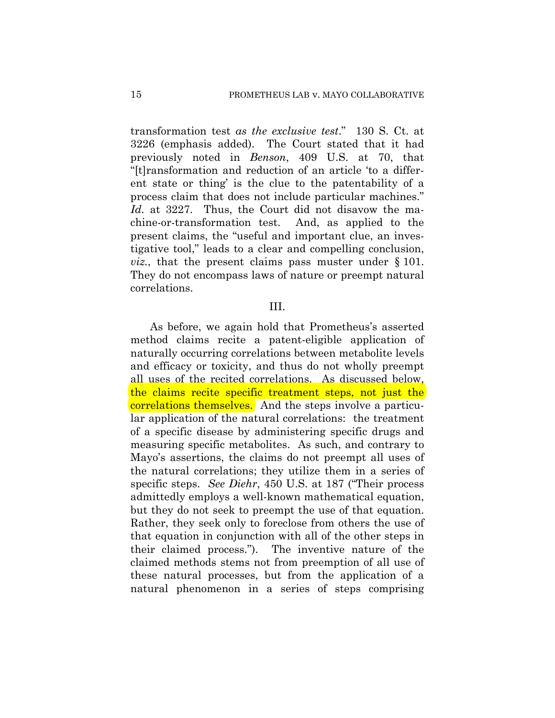transformation test *as the exclusive test*." 130 S. Ct. at 3226 (emphasis added). The Court stated that it had previously noted in *Benson*, 409 U.S. at 70, that "[t]ransformation and reduction of an article 'to a different state or thing' is the clue to the patentability of a process claim that does not include particular machines." *Id.* at 3227. Thus, the Court did not disavow the machine-or-transformation test. And, as applied to the present claims, the "useful and important clue, an investigative tool," leads to a clear and compelling conclusion, *viz.*, that the present claims pass muster under § 101. They do not encompass laws of nature or preempt natural correlations.

## III.

As before, we again hold that Prometheus's asserted method claims recite a patent-eligible application of naturally occurring correlations between metabolite levels and efficacy or toxicity, and thus do not wholly preempt all uses of the recited correlations. As discussed below, the claims recite specific treatment steps, not just the correlations themselves. And the steps involve a particular application of the natural correlations: the treatment of a specific disease by administering specific drugs and measuring specific metabolites. As such, and contrary to Mayo's assertions, the claims do not preempt all uses of the natural correlations; they utilize them in a series of specific steps. *See Diehr*, 450 U.S. at 187 ("Their process admittedly employs a well-known mathematical equation, but they do not seek to preempt the use of that equation. Rather, they seek only to foreclose from others the use of that equation in conjunction with all of the other steps in their claimed process."). The inventive nature of the claimed methods stems not from preemption of all use of these natural processes, but from the application of a natural phenomenon in a series of steps comprising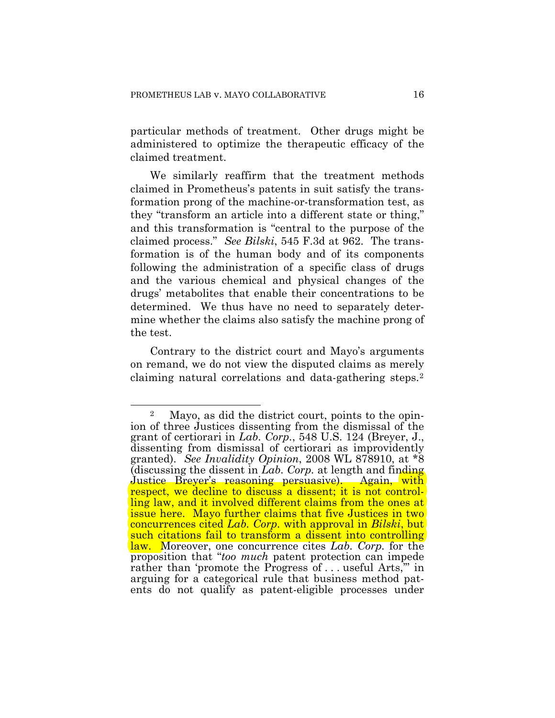particular methods of treatment. Other drugs might be administered to optimize the therapeutic efficacy of the claimed treatment.

We similarly reaffirm that the treatment methods claimed in Prometheus's patents in suit satisfy the transformation prong of the machine-or-transformation test, as they "transform an article into a different state or thing," and this transformation is "central to the purpose of the claimed process." *See Bilski*, 545 F.3d at 962. The transformation is of the human body and of its components following the administration of a specific class of drugs and the various chemical and physical changes of the drugs' metabolites that enable their concentrations to be determined. We thus have no need to separately determine whether the claims also satisfy the machine prong of the test.

Contrary to the district court and Mayo's arguments on remand, we do not view the disputed claims as merely claiming natural correlations and data-gathering steps.[2](#page-15-0)

<span id="page-15-0"></span> $\overline{a}$ 2 Mayo, as did the district court, points to the opinion of three Justices dissenting from the dismissal of the grant of certiorari in *Lab. Corp.*, 548 U.S. 124 (Breyer, J., dissenting from dismissal of certiorari as improvidently granted). *See Invalidity Opinion*, 2008 WL 878910, at \*8 (discussing the dissent in *Lab. Corp.* at length and finding Justice Breyer's reasoning persuasive). Again, with respect, we decline to discuss a dissent; it is not controlling law, and it involved different claims from the ones at issue here. Mayo further claims that five Justices in two concurrences cited *Lab. Corp.* with approval in *Bilski*, but such citations fail to transform a dissent into controlling law. Moreover, one concurrence cites *Lab. Corp.* for the proposition that "*too much* patent protection can impede rather than 'promote the Progress of ... useful Arts," in arguing for a categorical rule that business method patents do not qualify as patent-eligible processes under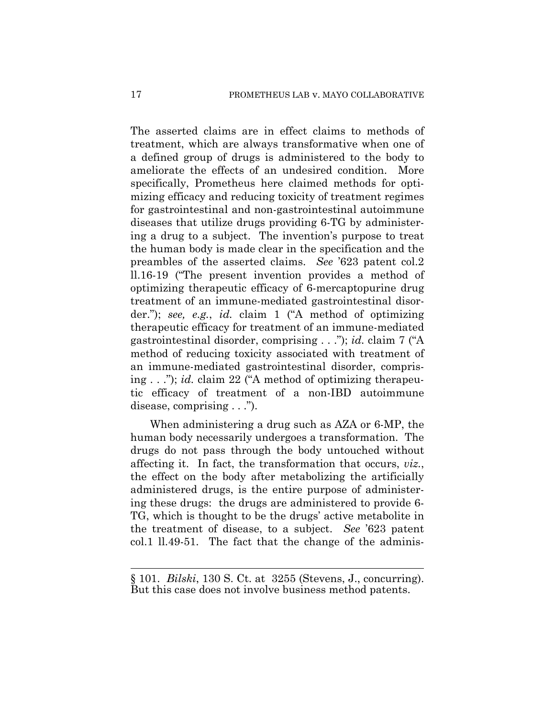The asserted claims are in effect claims to methods of treatment, which are always transformative when one of a defined group of drugs is administered to the body to ameliorate the effects of an undesired condition. More specifically, Prometheus here claimed methods for optimizing efficacy and reducing toxicity of treatment regimes for gastrointestinal and non-gastrointestinal autoimmune diseases that utilize drugs providing 6-TG by administering a drug to a subject. The invention's purpose to treat the human body is made clear in the specification and the preambles of the asserted claims. *See* '623 patent col.2 ll.16-19 ("The present invention provides a method of optimizing therapeutic efficacy of 6-mercaptopurine drug treatment of an immune-mediated gastrointestinal disorder."); *see, e.g.*, *id.* claim 1 ("A method of optimizing therapeutic efficacy for treatment of an immune-mediated gastrointestinal disorder, comprising . . ."); *id.* claim 7 ("A method of reducing toxicity associated with treatment of an immune-mediated gastrointestinal disorder, comprising . . ."); *id.* claim 22 ("A method of optimizing therapeutic efficacy of treatment of a non-IBD autoimmune disease, comprising . . .").

When administering a drug such as AZA or 6-MP, the human body necessarily undergoes a transformation. The drugs do not pass through the body untouched without affecting it. In fact, the transformation that occurs, *viz.*, the effect on the body after metabolizing the artificially administered drugs, is the entire purpose of administering these drugs: the drugs are administered to provide 6- TG, which is thought to be the drugs' active metabolite in the treatment of disease, to a subject. *See* '623 patent col.1 ll.49-51. The fact that the change of the adminis-

1

<sup>§ 101.</sup> *Bilski*, 130 S. Ct. at 3255 (Stevens, J., concurring). But this case does not involve business method patents.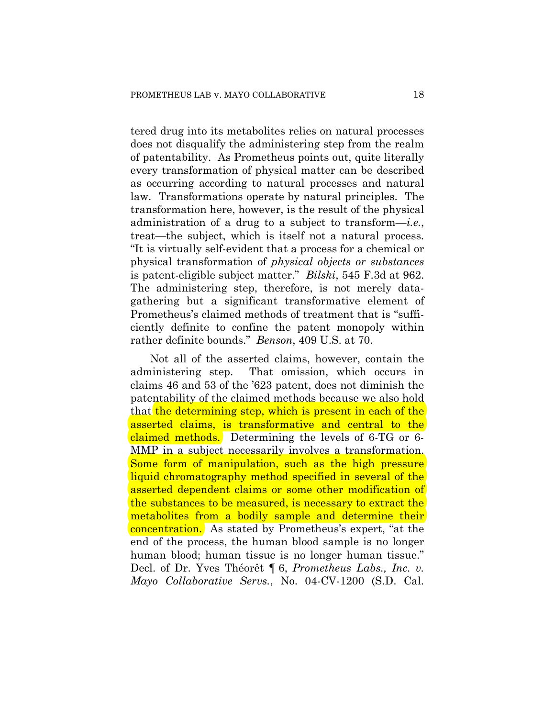tered drug into its metabolites relies on natural processes does not disqualify the administering step from the realm of patentability. As Prometheus points out, quite literally every transformation of physical matter can be described as occurring according to natural processes and natural law. Transformations operate by natural principles. The transformation here, however, is the result of the physical administration of a drug to a subject to transform—*i.e.*, treat—the subject, which is itself not a natural process. "It is virtually self-evident that a process for a chemical or physical transformation of *physical objects or substances* is patent-eligible subject matter." *Bilski*, 545 F.3d at 962. The administering step, therefore, is not merely datagathering but a significant transformative element of Prometheus's claimed methods of treatment that is "sufficiently definite to confine the patent monopoly within rather definite bounds." *Benson*, 409 U.S. at 70.

Not all of the asserted claims, however, contain the administering step. That omission, which occurs in claims 46 and 53 of the '623 patent, does not diminish the patentability of the claimed methods because we also hold that the determining step, which is present in each of the asserted claims, is transformative and central to the claimed methods. Determining the levels of 6-TG or 6-MMP in a subject necessarily involves a transformation. Some form of manipulation, such as the high pressure liquid chromatography method specified in several of the asserted dependent claims or some other modification of the substances to be measured, is necessary to extract the metabolites from a bodily sample and determine their concentration. As stated by Prometheus's expert, "at the end of the process, the human blood sample is no longer human blood; human tissue is no longer human tissue." Decl. of Dr. Yves Théorêt ¶ 6, *Prometheus Labs., Inc. v. Mayo Collaborative Servs.*, No. 04-CV-1200 (S.D. Cal.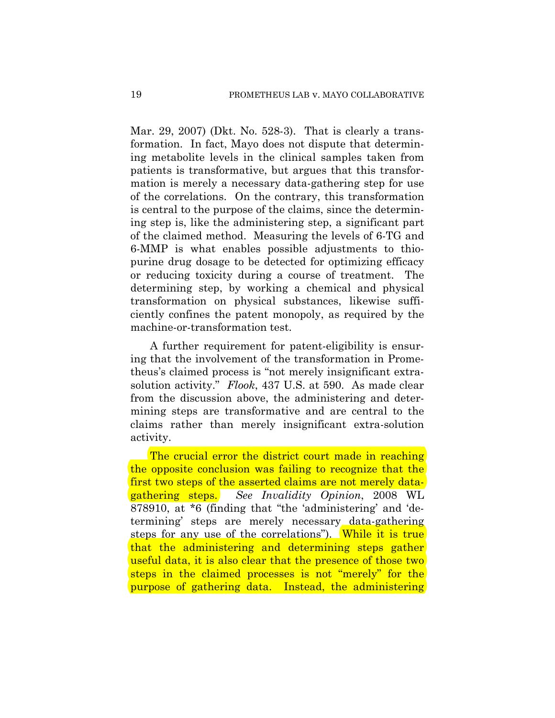Mar. 29, 2007) (Dkt. No. 528-3). That is clearly a transformation. In fact, Mayo does not dispute that determining metabolite levels in the clinical samples taken from patients is transformative, but argues that this transformation is merely a necessary data-gathering step for use of the correlations. On the contrary, this transformation is central to the purpose of the claims, since the determining step is, like the administering step, a significant part of the claimed method. Measuring the levels of 6-TG and 6-MMP is what enables possible adjustments to thiopurine drug dosage to be detected for optimizing efficacy or reducing toxicity during a course of treatment. The determining step, by working a chemical and physical transformation on physical substances, likewise sufficiently confines the patent monopoly, as required by the machine-or-transformation test.

A further requirement for patent-eligibility is ensuring that the involvement of the transformation in Prometheus's claimed process is "not merely insignificant extrasolution activity." *Flook*, 437 U.S. at 590. As made clear from the discussion above, the administering and determining steps are transformative and are central to the claims rather than merely insignificant extra-solution activity.

The crucial error the district court made in reaching the opposite conclusion was failing to recognize that the first two steps of the asserted claims are not merely datagathering steps. *See Invalidity Opinion*, 2008 WL 878910, at \*6 (finding that "the 'administering' and 'determining' steps are merely necessary data-gathering steps for any use of the correlations"). While it is true that the administering and determining steps gather useful data, it is also clear that the presence of those two steps in the claimed processes is not "merely" for the purpose of gathering data. Instead, the administering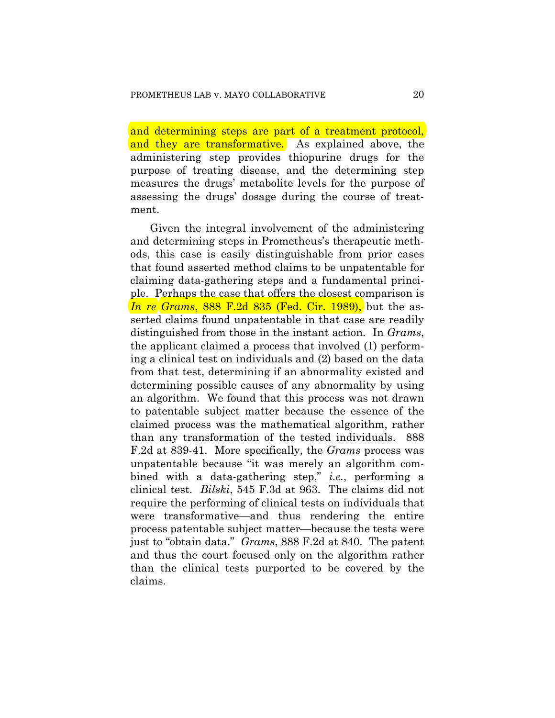and determining steps are part of a treatment protocol, and they are transformative. As explained above, the administering step provides thiopurine drugs for the purpose of treating disease, and the determining step measures the drugs' metabolite levels for the purpose of assessing the drugs' dosage during the course of treatment.

Given the integral involvement of the administering and determining steps in Prometheus's therapeutic methods, this case is easily distinguishable from prior cases that found asserted method claims to be unpatentable for claiming data-gathering steps and a fundamental principle. Perhaps the case that offers the closest comparison is *In re Grams*, 888 F.2d 835 (Fed. Cir. 1989), but the asserted claims found unpatentable in that case are readily distinguished from those in the instant action. In *Grams*, the applicant claimed a process that involved (1) performing a clinical test on individuals and (2) based on the data from that test, determining if an abnormality existed and determining possible causes of any abnormality by using an algorithm. We found that this process was not drawn to patentable subject matter because the essence of the claimed process was the mathematical algorithm, rather than any transformation of the tested individuals. 888 F.2d at 839-41. More specifically, the *Grams* process was unpatentable because "it was merely an algorithm combined with a data-gathering step," *i.e.*, performing a clinical test. *Bilski*, 545 F.3d at 963. The claims did not require the performing of clinical tests on individuals that were transformative—and thus rendering the entire process patentable subject matter—because the tests were just to "obtain data." *Grams*, 888 F.2d at 840. The patent and thus the court focused only on the algorithm rather than the clinical tests purported to be covered by the claims.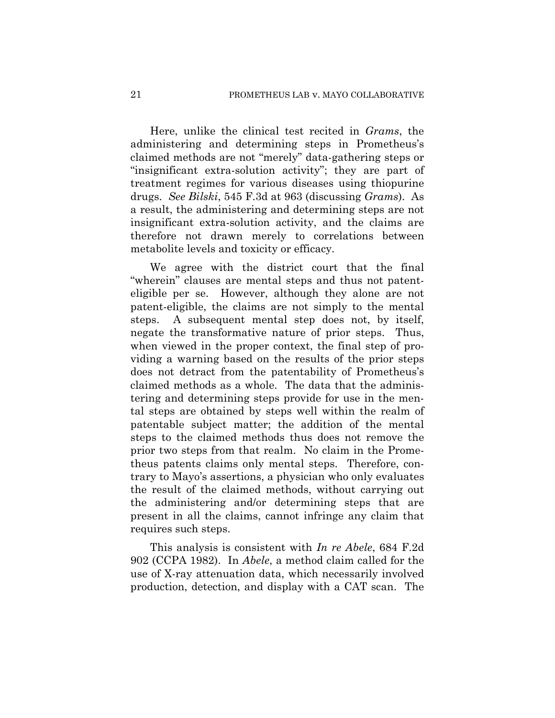Here, unlike the clinical test recited in *Grams*, the administering and determining steps in Prometheus's claimed methods are not "merely" data-gathering steps or "insignificant extra-solution activity"; they are part of treatment regimes for various diseases using thiopurine drugs. *See Bilski*, 545 F.3d at 963 (discussing *Grams*). As a result, the administering and determining steps are not insignificant extra-solution activity, and the claims are therefore not drawn merely to correlations between metabolite levels and toxicity or efficacy.

We agree with the district court that the final "wherein" clauses are mental steps and thus not patenteligible per se. However, although they alone are not patent-eligible, the claims are not simply to the mental steps. A subsequent mental step does not, by itself, negate the transformative nature of prior steps. Thus, when viewed in the proper context, the final step of providing a warning based on the results of the prior steps does not detract from the patentability of Prometheus's claimed methods as a whole. The data that the administering and determining steps provide for use in the mental steps are obtained by steps well within the realm of patentable subject matter; the addition of the mental steps to the claimed methods thus does not remove the prior two steps from that realm. No claim in the Prometheus patents claims only mental steps. Therefore, contrary to Mayo's assertions, a physician who only evaluates the result of the claimed methods, without carrying out the administering and/or determining steps that are present in all the claims, cannot infringe any claim that requires such steps.

This analysis is consistent with *In re Abele*, 684 F.2d 902 (CCPA 1982). In *Abele*, a method claim called for the use of X-ray attenuation data, which necessarily involved production, detection, and display with a CAT scan. The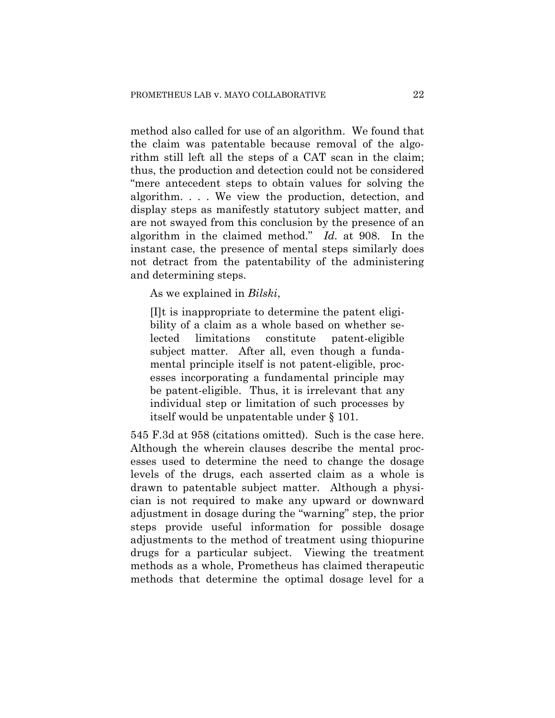method also called for use of an algorithm. We found that the claim was patentable because removal of the algorithm still left all the steps of a CAT scan in the claim; thus, the production and detection could not be considered "mere antecedent steps to obtain values for solving the algorithm. . . . We view the production, detection, and display steps as manifestly statutory subject matter, and are not swayed from this conclusion by the presence of an algorithm in the claimed method." *Id.* at 908. In the instant case, the presence of mental steps similarly does not detract from the patentability of the administering and determining steps.

As we explained in *Bilski*,

[I]t is inappropriate to determine the patent eligibility of a claim as a whole based on whether selected limitations constitute patent-eligible subject matter. After all, even though a fundamental principle itself is not patent-eligible, processes incorporating a fundamental principle may be patent-eligible. Thus, it is irrelevant that any individual step or limitation of such processes by itself would be unpatentable under § 101.

545 F.3d at 958 (citations omitted). Such is the case here. Although the wherein clauses describe the mental processes used to determine the need to change the dosage levels of the drugs, each asserted claim as a whole is drawn to patentable subject matter. Although a physician is not required to make any upward or downward adjustment in dosage during the "warning" step, the prior steps provide useful information for possible dosage adjustments to the method of treatment using thiopurine drugs for a particular subject. Viewing the treatment methods as a whole, Prometheus has claimed therapeutic methods that determine the optimal dosage level for a